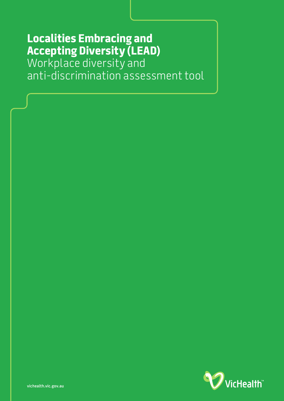# **Localities Embracing and Accepting Diversity (LEAD)**

Workplace diversity and anti-discrimination assessment tool

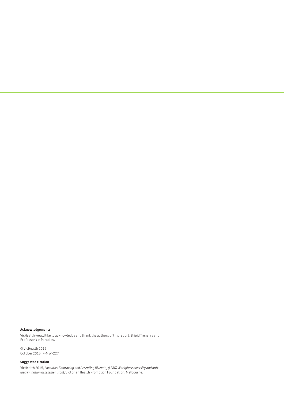#### **Acknowledgements**

VicHealth would like to acknowledge and thank the authors of this report, Brigid Trenerry and Professor Yin Paradies.

© VicHealth 2015 October 2015 P-MW-227

#### **Suggested citation**

VicHealth 2015, *Localities Embracing and Accepting Diversity (LEAD) Workplace diversity and antidiscrimination assessment tool,* Victorian Health Promotion Foundation, Melbourne.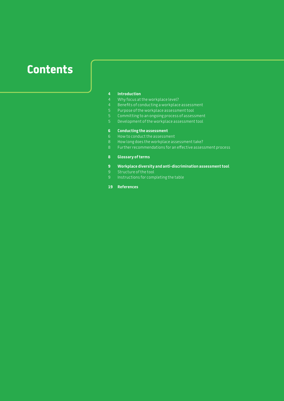# **Contents**

## **Introduction**

- 4 Why focus at the workplace level?<br>4 Benefits of conducting a workplace
- 4 Benefits of conducting a workplace assessment<br>5 Purpose of the workplace assessment tool
- 5 Purpose of the workplace assessment tool<br>5 Committing to an ongoing process of assess
- Committing to an ongoing process of assessment
- Development of the workplace assessment tool

#### **Conducting the assessment**

- How to conduct the assessment
- How long does the workplace assessment take?
- Further recommendations for an effective assessment process

#### **Glossary of terms**

- **Workplace diversity and anti-discrimination assessment tool**
- 9 Structure of the tool<br>9 Instructions for comp
- Instructions for completing the table
- **References**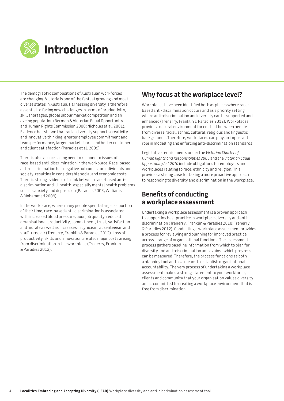

The demographic compositions of Australian workforces are changing. Victoria is one of the fastest growing and most diverse states in Australia. Harnessing diversity is therefore essential to facing new challenges in terms of productivity, skill shortages, global labour market competition and an ageing population (Berman & Victorian Equal Opportunity and Human Rights Commission 2008; Nicholas et al. 2001). Evidence has shown that racial diversity supports creativity and innovative thinking, greater employee commitment and team performance, larger market share, and better customer and client satisfaction (Paradies et al. 2009).

There is also an increasing need to respond to issues of race-based anti-discrimination in the workplace. Race-based anti-discrimination has negative outcomes for individuals and society, resulting in considerable social and economic costs. There is strong evidence of a link between race-based antidiscrimination and ill-health, especially mental health problems such as anxiety and depression (Paradies 2006; Williams & Mohammed 2009).

In the workplace, where many people spend a large proportion of their time, race-based anti-discrimination is associated with increased blood pressure, poor job quality, reduced organisational productivity, commitment, trust, satisfaction and morale as well as increases in cynicism, absenteeism and staff turnover (Trenerry, Franklin & Paradies 2012). Loss of productivity, skills and innovation are also major costs arising from discrimination in the workplace (Trenerry, Franklin & Paradies 2012).

### **Why focus at the workplace level?**

Workplaces have been identified both as places where racebased anti-discrimination occurs and as a priority setting where anti-discrimination and diversity can be supported and enhanced (Trenerry, Franklin & Paradies 2012). Workplaces provide a natural environment for contact between people from diverse racial, ethnic, cultural, religious and linguistic backgrounds. Therefore, workplaces can play an important role in modelling and enforcing anti-discrimination standards.

Legislative requirements under the *Victorian Charter of Human Rights and Responsibilities 2006* and the *Victorian Equal Opportunity Act 2010* include obligations for employers and workplaces relating to race, ethnicity and religion. This provides a strong case for taking a more proactive approach to responding to diversity and discrimination in the workplace.

### **Benefits of conducting a workplace assessment**

Undertaking a workplace assessment is a proven approach to supporting best practice in workplace diversity and antidiscrimination (Trenerry, Franklin & Paradies 2010; Trenerry & Paradies 2012). Conducting a workplace assessment provides a process for reviewing and planning for improved practice across a range of organisational functions. The assessment process gathers baseline information from which to plan for diversity and anti-discrimination and against which progress can be measured. Therefore, the process functions as both a planning tool and as a means to establish organisational accountability. The very process of undertaking a workplace assessment makes a strong statement to your workforce, clients and community that your organisation values diversity and is committed to creating a workplace environment that is free from discrimination.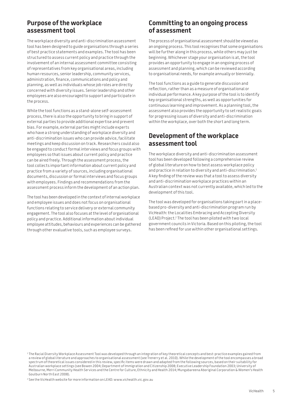### **Purpose of the workplace assessment tool**

The workplace diversity and anti-discrimination assessment tool has been designed to guide organisations through a series of best practice statements and examples. The tool has been structured to assess current policy and practice through the involvement of an internal assessment committee consisting of representatives from key organisational areas, including human resources, senior leadership, community services, administration, finance, communications and policy and planning, as well as individuals whose job roles are directly concerned with diversity issues. Senior leadership and other employees are also encouraged to support and participate in the process.

While the tool functions as a stand-alone self-assessment process, there is also the opportunity to bring in support of external parties to provide additional expertise and prevent bias. For example, external parties might include experts who have a strong understanding of workplace diversity and anti-discrimination issues who can provide advice, facilitate meetings and keep discussion on track. Researchers could also be engaged to conduct formal interviews and focus groups with employees so that issues about current policy and practice can be aired freely. Through the assessment process, the tool collects important information about current policy and practice from a variety of sources, including organisational documents, discussion or formal interviews and focus groups with employees. Findings and recommendations from the assessment process inform the development of an action plan.

The tool has been developed in the context of internal workplace and employee issues and does not focus on organisational functions relating to service delivery or external community engagement. The tool also focuses at the level of organisational policy and practice. Additional information about individual employee attitudes, behaviours and experiences can be gathered through other evaluative tools, such as employee surveys.

#### **Committing to an ongoing process of assessment**

The process of organisational assessment should be viewed as an ongoing process. This tool recognises that some organisations will be further along in this process, while others may just be beginning. Whichever stage your organisation is at, the tool provides an opportunity to engage in an ongoing process of assessment and planning, which can be reviewed according to organisational needs, for example annually or biennially.

The tool functions as a guide to generate discussion and reflection, rather than as a measure of organisational or individual performance. A key purpose of the tool is to identify key organisational strengths, as well as opportunities for continuous learning and improvement. As a planning tool, the assessment also provides the opportunity to set realistic goals for progressing issues of diversity and anti-discrimination within the workplace, over both the short and long term.

### **Development of the workplace assessment tool**

The workplace diversity and anti-discrimination assessment tool has been developed following a comprehensive review of global literature on how to best assess workplace policy and practice in relation to diversity and anti-discrimination.<sup>1</sup> A key finding of the review was that a tool to assess diversity and anti-discrimination workplace practices within an Australian context was not currently available, which led to the development of this tool.

The tool was developed for organisations taking part in a placebased pro-diversity and anti-discrimination program run by VicHealth: the Localities Embracing and Accepting Diversity (LEAD) Project.2 The tool has been piloted with two local government councils in Victoria. Based on this piloting, the tool has been refined for use within other organisational settings.

<sup>2</sup> See the VicHealth website for more information on LEAD: www.vichealth.vic.gov.au

<sup>1</sup> The Racial Diversity Workplace Assessment Tool was developed through an integration of key theoretical concepts and best-practice examples gained from a review of global literature and approaches to organisational assessment (see Trenerry et al. 2010). While the development of the tool encompasses a broad spectrum of theoretical issues considered in this review, specific items were drawn and adapted from the following sources, based on their suitability for Australian workplace settings (see Bowen 2004; Department of Immigration and Citizenship 2008; Executive Leadership Foundation 2003; University of Melbourne, Merri Community Health Services and the Centre for Culture, Ethnicity and Health 2014; Mungabareena Aboriginal Corporation & Women's Health Goulburn North East 2008).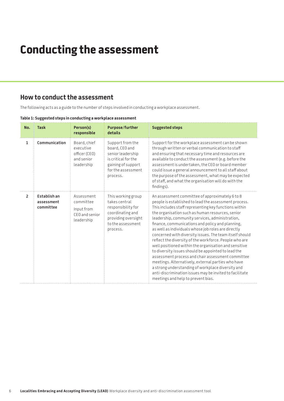# **Conducting the assessment**

#### **How to conduct the assessment**

The following acts as a guide to the number of steps involved in conducting a workplace assessment.

| No.            | <b>Task</b>                             | Person(s)<br>responsible                                               | <b>Purpose/further</b><br>details                                                                                                      | <b>Suggested steps</b>                                                                                                                                                                                                                                                                                                                                                                                                                                                                                                                                                                                                                                                                                                                                                                                                                                                                    |
|----------------|-----------------------------------------|------------------------------------------------------------------------|----------------------------------------------------------------------------------------------------------------------------------------|-------------------------------------------------------------------------------------------------------------------------------------------------------------------------------------------------------------------------------------------------------------------------------------------------------------------------------------------------------------------------------------------------------------------------------------------------------------------------------------------------------------------------------------------------------------------------------------------------------------------------------------------------------------------------------------------------------------------------------------------------------------------------------------------------------------------------------------------------------------------------------------------|
| $\mathbf{1}$   | Communication                           | Board, chief<br>executive<br>officer (CEO)<br>and senior<br>leadership | Support from the<br>board, CEO and<br>senior leadership<br>is critical for the<br>gaining of support<br>for the assessment<br>process. | Support for the workplace assessment can be shown<br>through written or verbal communication to staff<br>and ensuring that necessary time and resources are<br>available to conduct the assessment (e.g. before the<br>assessment is undertaken, the CEO or board member<br>could issue a general announcement to all staff about<br>the purpose of the assessment, what may be expected<br>of staff, and what the organisation will do with the<br>findings).                                                                                                                                                                                                                                                                                                                                                                                                                            |
| $\overline{2}$ | Establish an<br>assessment<br>committee | Assessment<br>committee<br>Input from<br>CEO and senior<br>leadership  | This working group<br>takes central<br>responsibility for<br>coordinating and<br>providing oversight<br>to the assessment<br>process.  | An assessment committee of approximately 6 to 8<br>people is established to lead the assessment process.<br>This includes staff representing key functions within<br>the organisation such as human resources, senior<br>leadership, community services, administration,<br>finance, communications and policy and planning,<br>as well as individuals whose job roles are directly<br>concerned with diversity issues. The team itself should<br>reflect the diversity of the workforce. People who are<br>well positioned within the organisation and sensitive<br>to diversity issues should be appointed to lead the<br>assessment process and chair assessment committee<br>meetings. Alternatively, external parties who have<br>a strong understanding of workplace diversity and<br>anti-discrimination issues may be invited to facilitate<br>meetings and help to prevent bias. |

#### **Table 1: Suggested steps in conducting a workplace assessment**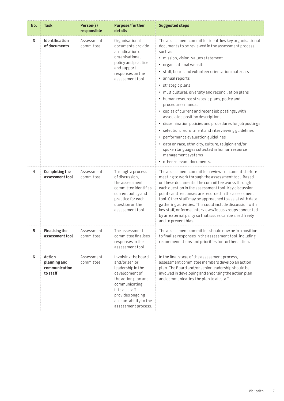| No. | <b>Task</b>                                         | Person(s)<br>responsible | <b>Purpose/further</b><br>details                                                                                                                                                                          | <b>Suggested steps</b>                                                                                                                                                                                                                                                                                                                                                                                                                                                                                                                                                                                                                                                                                                                                                                                                                  |
|-----|-----------------------------------------------------|--------------------------|------------------------------------------------------------------------------------------------------------------------------------------------------------------------------------------------------------|-----------------------------------------------------------------------------------------------------------------------------------------------------------------------------------------------------------------------------------------------------------------------------------------------------------------------------------------------------------------------------------------------------------------------------------------------------------------------------------------------------------------------------------------------------------------------------------------------------------------------------------------------------------------------------------------------------------------------------------------------------------------------------------------------------------------------------------------|
| 3   | Identification<br>of documents                      | Assessment<br>committee  | Organisational<br>documents provide<br>an indication of<br>organisational<br>policy and practice<br>and support<br>responses on the<br>assessment tool.                                                    | The assessment committee identifies key organisational<br>documents to be reviewed in the assessment process,<br>such as:<br>· mission, vision, values statement<br>· organisational website<br>· staff, board and volunteer orientation materials<br>• annual reports<br>• strategic plans<br>· multicultural, diversity and reconciliation plans<br>• human resource strategic plans, policy and<br>procedures manual<br>• copies of current and recent job postings, with<br>associated position descriptions<br>· dissemination policies and procedures for job postings<br>· selection, recruitment and interviewing guidelines<br>• performance evaluation guidelines<br>· data on race, ethnicity, culture, religion and/or<br>spoken languages collected in human resource<br>management systems<br>• other relevant documents. |
| 4   | Completing the<br>assessment tool                   | Assessment<br>committee  | Through a process<br>of discussion,<br>the assessment<br>committee identifies<br>current policy and<br>practice for each<br>question on the<br>assessment tool.                                            | The assessment committee reviews documents before<br>meeting to work through the assessment tool. Based<br>on these documents, the committee works through<br>each question in the assessment tool. Key discussion<br>points and responses are recorded in the assessment<br>tool. Other staff may be approached to assist with data<br>gathering activities. This could include discussion with<br>key staff, or formal interviews/focus groups conducted<br>by an external party so that issues can be aired freely<br>and to prevent bias.                                                                                                                                                                                                                                                                                           |
| 5   | <b>Finalising the</b><br>assessment tool            | Assessment<br>committee  | The assessment<br>committee finalises<br>responses in the<br>assessment tool.                                                                                                                              | The assessment committee should now be in a position<br>to finalise responses in the assessment tool, including<br>recommendations and priorities for further action.                                                                                                                                                                                                                                                                                                                                                                                                                                                                                                                                                                                                                                                                   |
| 6   | Action<br>planning and<br>communication<br>to staff | Assessment<br>committee  | Involving the board<br>and/or senior<br>leadership in the<br>development of<br>the action plan and<br>communicating<br>it to all staff<br>provides ongoing<br>accountability to the<br>assessment process. | In the final stage of the assessment process,<br>assessment committee members develop an action<br>plan. The Board and/or senior leadership should be<br>involved in developing and endorsing the action plan<br>and communicating the plan to all staff.                                                                                                                                                                                                                                                                                                                                                                                                                                                                                                                                                                               |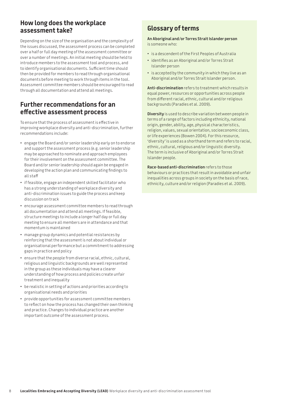### **How long does the workplace assessment take?**

Depending on the size of the organisation and the complexity of the issues discussed, the assessment process can be completed over a half or full day meeting of the assessment committee or over a number of meetings. An initial meeting should be held to introduce members to the assessment tool and process, and to identify organisational documents. Sufficient time should then be provided for members to read through organisational documents before meeting to work through items in the tool. Assessment committee members should be encouraged to read through all documentation and attend all meetings.

#### **Further recommendations for an effective assessment process**

To ensure that the process of assessment is effective in improving workplace diversity and anti-discrimination, further recommendations include:

- engage the Board and/or senior leadership early on to endorse and support the assessment process (e.g. senior leadership may be approached to nominate and approach employees for their involvement on the assessment committee. The Board and/or senior leadership should again be engaged in developing the action plan and communicating findings to all staff
- if feasible, engage an independent skilled facilitator who has a strong understanding of workplace diversity and anti-discrimination issues to guide the process and keep discussion on track
- encourage assessment committee members to read through all documentation and attend all meetings. If feasible, structure meetings to include a longer half day or full day meeting to ensure all members are in attendance and that momentum is maintained
- manage group dynamics and potential resistances by reinforcing that the assessment is not about individual or organisational performance but a commitment to addressing gaps in practice and policy
- ensure that the people from diverse racial, ethnic, cultural, religious and linguistic backgrounds are well represented in the group as these individuals may have a clearer understanding of how process and policies create unfair treatment and inequality
- be realistic in setting of actions and priorities according to organisational needs and priorities
- provide opportunities for assessment committee members to reflect on how the process has changed their own thinking and practice. Changes to individual practice are another important outcome of the assessment process.

### **Glossary of terms**

**An Aboriginal and/or Torres Strait Islander person** is someone who:

- is a descendent of the First Peoples of Australia
- identifies as an Aboriginal and/or Torres Strait Islander person
- is accepted by the community in which they live as an Aboriginal and/or Torres Strait Islander person.

**Anti-discrimination** refers to treatment which results in equal power, resources or opportunities across people from different racial, ethnic, cultural and/or religious backgrounds (Paradies et al. 2009).

**Diversity** is used to describe variation between people in terms of a range of factors including ethnicity, national origin, gender, ability, age, physical characteristics, religion, values, sexual orientation, socioeconomic class, or life experiences (Bowen 2004). For this resource, 'diversity' is used as a shorthand term and refers to racial, ethnic, cultural, religious and/or linguistic diversity. The term is inclusive of Aboriginal and/or Torres Strait Islander people.

**Race-based anti-discrimination** refers to those behaviours or practices that result in avoidable and unfair inequalities across groups in society on the basis of race, ethnicity, culture and/or religion (Paradies et al. 2009).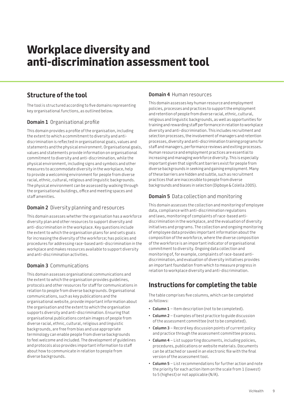# **Workplace diversity and anti-discrimination assessment tool**

### **Structure of the tool**

The tool is structured according to five domains representing key organisational functions, as outlined below.

#### **Domain 1** Organisational profile

This domain provides a profile of the organisation, including the extent to which a commitment to diversity and antidiscrimination is reflected in organisational goals, values and statements and the physical environment. Organisational goals, values and statements provide information on organisational commitment to diversity and anti-discrimination, while the physical environment, including signs and symbols and other measures to accommodate diversity in the workplace, help to provide a welcoming environment for people from diverse racial, ethnic, cultural, religious and linguistic backgrounds. The physical environment can be assessed by walking through the organisational buildings, office and meeting spaces and staff amenities.

#### **Domain 2** Diversity planning and resources

This domain assesses whether the organisation has a workforce diversity plan and other resources to support diversity and anti-discrimination in the workplace. Key questions include the extent to which the organisation plans for and sets goals for increasing the diversity of the workforce; has policies and procedures for addressing race-based anti-discrimination in the workplace and makes resources available to support diversity and anti-discrimination activities.

#### **Domain 3** Communications

This domain assesses organisational communications and the extent to which the organisation provides guidelines, protocols and other resources for staff for communications in relation to people from diverse backgrounds. Organisational communications, such as key publications and the organisational website, provide important information about the organisation and the extent to which the organisation supports diversity and anti-discrimination. Ensuring that organisational publications contain images of people from diverse racial, ethnic, cultural, religious and linguistic backgrounds, are free from bias and use appropriate terminology can enable people from diverse backgrounds to feel welcome and included. The development of guidelines and protocols also provides important information to staff about how to communicate in relation to people from diverse backgrounds.

#### **Domain 4** Human resources

This domain assesses key human resource and employment policies, processes and practices to support the employment and retention of people from diverse racial, ethnic, cultural, religious and linguistic backgrounds, as well as opportunities for training and rewarding staff performance in relation to workplace diversity and anti-discrimination. This includes recruitment and selection processes, the involvement of managers and retention processes, diversity and anti-discrimination training programs for staff and managers, performance reviews and exiting processes. Human resource and employment practices are essential to increasing and managing workforce diversity. This is especially important given that significant barriers exist for people from diverse backgrounds in seeking and gaining employment. Many of these barriers are hidden and subtle, such as recruitment practices that are inaccessible to people from diverse backgrounds and biases in selection (Dipboye & Colella 2005).

#### **Domain 5** Data collection and monitoring

This domain assesses the collection and monitoring of employee data, compliance with anti-discrimination regulations and laws, monitoring of complaints of race-based antidiscrimination in the workplace, and the evaluation of diversity initiatives and programs. The collection and ongoing monitoring of employee data provides important information about the composition of the workforce, where the diverse composition of the workforce is an important indicator of organisational commitment to diversity. Ongoing data collection and monitoring of, for example, complaints of race-based antidiscrimination, and evaluation of diversity initiatives provides an important foundation from which to measure progress in relation to workplace diversity and anti-discrimination.

### **Instructions for completing the table**

The table comprises five columns, which can be completed as follows:

- **Column 1** Item description (not to be completed).
- **Column 2** Examples of best practice to guide discussion of the assessment committee (not to be completed).
- **Column 3** Record key discussion points of current policy and practice through the assessment committee process.
- **Column 4**  List supporting documents, including policies, procedures, publications or website materials. Documents can be attached or saved in an electronic file with the final version of the assessment tool.
- **Column 5** List recommendations for further action and note the priority for each action item on the scale from 1 (lowest) to 5 (highest) or not applicable (N/A).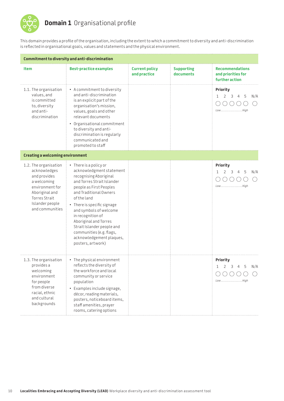

## **Domain 1** Organisational profile

This domain provides a profile of the organisation, including the extent to which a commitment to diversity and anti-discrimination is reflected in organisational goals, values and statements and the physical environment.

|                                                                                                                                                                  | Commitment to diversity and anti-discrimination                                                                                                                                                                                                                                                                                                                                                  |                                       |                                |                                                                |
|------------------------------------------------------------------------------------------------------------------------------------------------------------------|--------------------------------------------------------------------------------------------------------------------------------------------------------------------------------------------------------------------------------------------------------------------------------------------------------------------------------------------------------------------------------------------------|---------------------------------------|--------------------------------|----------------------------------------------------------------|
| Item                                                                                                                                                             | <b>Best-practice examples</b>                                                                                                                                                                                                                                                                                                                                                                    | <b>Current policy</b><br>and practice | <b>Supporting</b><br>documents | <b>Recommendations</b><br>and priorities for<br>further action |
| 1.1. The organisation<br>values, and<br>is committed<br>to, diversity<br>and anti-<br>discrimination                                                             | • A commitment to diversity<br>and anti-discrimination<br>is an explicit part of the<br>organisation's mission,<br>values, goals and other<br>relevant documents<br>• Organisational commitment<br>to diversity and anti-<br>discrimination is regularly<br>communicated and<br>promoted to staff                                                                                                |                                       |                                | <b>Priority</b><br>5<br>3<br>N/A<br>Low High                   |
| <b>Creating a welcoming environment</b>                                                                                                                          |                                                                                                                                                                                                                                                                                                                                                                                                  |                                       |                                |                                                                |
| 1.2. The organisation<br>acknowledges<br>and provides<br>a welcoming<br>environment for<br>Aboriginal and<br>Torres Strait<br>Islander people<br>and communities | • There is a policy or<br>acknowledgment statement<br>recognising Aboriginal<br>and Torres Strait Islander<br>people as First Peoples<br>and Traditional Owners<br>of the land<br>• There is specific signage<br>and symbols of welcome<br>in recognition of<br>Aboriginal and Torres<br>Strait Islander people and<br>communities (e.g. flags,<br>acknowledgement plaques,<br>posters, artwork) |                                       |                                | Priority<br>5<br>2<br>3<br>N/A<br>1<br>4<br>LowHigh            |
| 1.3. The organisation<br>provides a<br>welcoming<br>environment<br>for people<br>from diverse<br>racial, ethnic<br>and cultural<br>backgrounds                   | • The physical environment<br>reflects the diversity of<br>the workforce and local<br>community or service<br>population<br>• Examples include signage,<br>décor, reading materials,<br>posters, noticeboard items,<br>staff amenities, prayer<br>rooms, catering options                                                                                                                        |                                       |                                | Priority<br>$\mathbf{1}$<br>2 3 4 5<br>N/A<br>LowHigh          |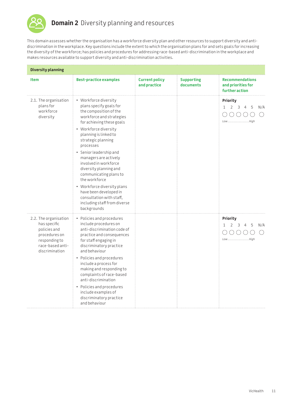

This domain assesses whether the organisation has a workforce diversity plan and other resources to support diversity and antidiscrimination in the workplace. Key questions include the extent to which the organisation plans for and sets goals for increasing the diversity of the workforce; has policies and procedures for addressing race-based anti-discrimination in the workplace and makes resources available to support diversity and anti-discrimination activities.

| <b>Diversity planning</b>                                                                                                     |                                                                                                                                                                                                                                                                                                                                                                                                                                                                                                                |                                       |                                |                                                                |  |
|-------------------------------------------------------------------------------------------------------------------------------|----------------------------------------------------------------------------------------------------------------------------------------------------------------------------------------------------------------------------------------------------------------------------------------------------------------------------------------------------------------------------------------------------------------------------------------------------------------------------------------------------------------|---------------------------------------|--------------------------------|----------------------------------------------------------------|--|
| <b>Item</b>                                                                                                                   | <b>Best-practice examples</b>                                                                                                                                                                                                                                                                                                                                                                                                                                                                                  | <b>Current policy</b><br>and practice | <b>Supporting</b><br>documents | <b>Recommendations</b><br>and priorities for<br>further action |  |
| 2.1. The organisation<br>plans for<br>workforce<br>diversity                                                                  | • Workforce diversity<br>plans specify goals for<br>the composition of the<br>workforce and strategies<br>for achieving these goals<br>• Workforce diversity<br>planning is linked to<br>strategic planning<br>processes<br>• Senior leadership and<br>managers are actively<br>involved in workforce<br>diversity planning and<br>communicating plans to<br>the workforce<br>• Workforce diversity plans<br>have been developed in<br>consultation with staff,<br>including staff from diverse<br>backgrounds |                                       |                                | Priority<br>5<br>$\mathbf{1}$<br>2<br>3<br>N/A<br>LowHigh      |  |
| 2.2. The organisation<br>has specific<br>policies and<br>procedures on<br>responding to<br>race-based anti-<br>discrimination | • Policies and procedures<br>include procedures on<br>anti-discrimination code of<br>practice and consequences<br>for staff engaging in<br>discriminatory practice<br>and behaviour<br>• Policies and procedures<br>include a process for<br>making and responding to<br>complaints of race-based<br>anti-discrimination<br>• Policies and procedures<br>include examples of<br>discriminatory practice<br>and behaviour                                                                                       |                                       |                                | Priority<br>2<br>5<br>$\mathbf{1}$<br>3<br>4<br>N/A<br>LowHigh |  |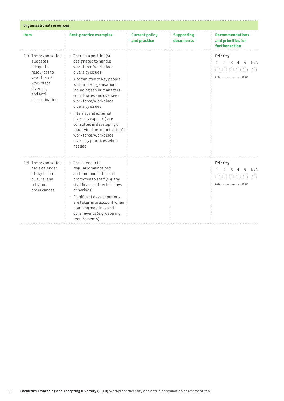| <b>Organisational resources</b>                                                                                                       |                                                                                                                                                                                                                                                                                                                                                                                                                                              |                                       |                                |                                                                |  |
|---------------------------------------------------------------------------------------------------------------------------------------|----------------------------------------------------------------------------------------------------------------------------------------------------------------------------------------------------------------------------------------------------------------------------------------------------------------------------------------------------------------------------------------------------------------------------------------------|---------------------------------------|--------------------------------|----------------------------------------------------------------|--|
| <b>Item</b>                                                                                                                           | <b>Best-practice examples</b>                                                                                                                                                                                                                                                                                                                                                                                                                | <b>Current policy</b><br>and practice | <b>Supporting</b><br>documents | <b>Recommendations</b><br>and priorities for<br>further action |  |
| 2.3. The organisation<br>allocates<br>adequate<br>resources to<br>workforce/<br>workplace<br>diversity<br>and anti-<br>discrimination | • There is a position(s)<br>designated to handle<br>workforce/workplace<br>diversity issues<br>• A committee of key people<br>within the organisation,<br>including senior managers,<br>coordinates and oversees<br>workforce/workplace<br>diversity issues<br>• Internal and external<br>diversity expert(s) are<br>consulted in developing or<br>modifying the organisation's<br>workforce/workplace<br>diversity practices when<br>needed |                                       |                                | Priority<br>5<br>3<br>N/A<br>4<br>Low High                     |  |
| 2.4. The organisation<br>has a calendar<br>of significant<br>cultural and<br>religious<br>observances                                 | • The calendar is<br>regularly maintained<br>and communicated and<br>promoted to staff (e.g. the<br>significance of certain days<br>or periods)<br>· Significant days or periods<br>are taken into account when<br>planning meetings and<br>other events (e.g. catering<br>requirements)                                                                                                                                                     |                                       |                                | Priority<br>5<br>2<br>3<br>N/A<br>1<br>4<br>LowHigh            |  |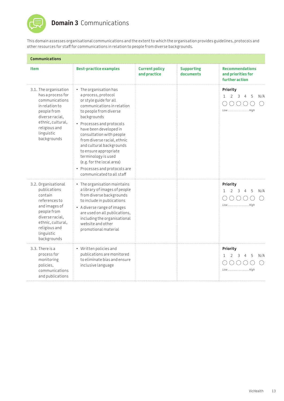

## **Domain 3** Communications

This domain assesses organisational communications and the extent to which the organisation provides guidelines, protocols and other resources for staff for communications in relation to people from diverse backgrounds.

| <b>Communications</b>                                                                                                                                                                 |                                                                                                                                                                                                                                                                                                                                                                                                                                                 |                                       |                                |                                                                            |  |
|---------------------------------------------------------------------------------------------------------------------------------------------------------------------------------------|-------------------------------------------------------------------------------------------------------------------------------------------------------------------------------------------------------------------------------------------------------------------------------------------------------------------------------------------------------------------------------------------------------------------------------------------------|---------------------------------------|--------------------------------|----------------------------------------------------------------------------|--|
| <b>Item</b>                                                                                                                                                                           | <b>Best-practice examples</b>                                                                                                                                                                                                                                                                                                                                                                                                                   | <b>Current policy</b><br>and practice | <b>Supporting</b><br>documents | <b>Recommendations</b><br>and priorities for<br>further action             |  |
| 3.1. The organisation<br>has a process for<br>communications<br>in relation to<br>people from<br>diverse racial,<br>ethnic, cultural,<br>religious and<br>linguistic<br>backgrounds   | $\bullet$ The organisation has<br>a process, protocol<br>or style guide for all<br>communications in relation<br>to people from diverse<br>backgrounds<br>• Processes and protocols<br>have been developed in<br>consultation with people<br>from diverse racial, ethnic<br>and cultural backgrounds<br>to ensure appropriate<br>terminology is used<br>(e.g. for the local area)<br>• Processes and protocols are<br>communicated to all staff |                                       |                                | Priority<br>$\mathcal{P}$<br>3<br>$\mathbf{1}$<br>5<br>N/A<br>4<br>LowHigh |  |
| 3.2. Organisational<br>publications<br>contain<br>references to<br>and images of<br>people from<br>diverse racial.<br>ethnic, cultural,<br>religious and<br>linguistic<br>backgrounds | • The organisation maintains<br>a library of images of people<br>from diverse backgrounds<br>to include in publications<br>• A diverse range of images<br>are used on all publications,<br>including the organisational<br>website and other<br>promotional material                                                                                                                                                                            |                                       |                                | Priority<br>5<br>N/A<br>1<br>2<br>3<br>LowHigh                             |  |
| 3.3. There is a<br>process for<br>monitoring<br>policies,<br>communications<br>and publications                                                                                       | • Written policies and<br>publications are monitored<br>to eliminate bias and ensure<br>inclusive language                                                                                                                                                                                                                                                                                                                                      |                                       |                                | Priority<br>5<br>N/A<br>$\mathcal{L}$<br>3<br>4<br>1<br>LowHigh            |  |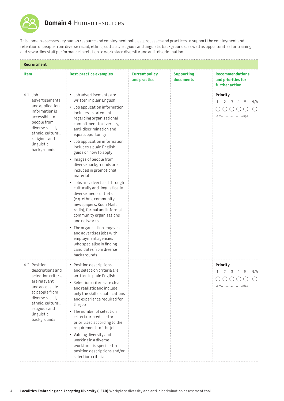

## **Domain 4** Human resources

This domain assesses key human resource and employment policies, processes and practices to support the employment and retention of people from diverse racial, ethnic, cultural, religious and linguistic backgrounds, as well as opportunities for training and rewarding staff performance in relation to workplace diversity and anti-discrimination.

| Recruitment                                                                                                                                                                                       |                                                                                                                                                                                                                                                                                                                                                                                                                                                                                                                                                                                                                                                                                                                                                                                            |                                       |                                |                                                                                  |
|---------------------------------------------------------------------------------------------------------------------------------------------------------------------------------------------------|--------------------------------------------------------------------------------------------------------------------------------------------------------------------------------------------------------------------------------------------------------------------------------------------------------------------------------------------------------------------------------------------------------------------------------------------------------------------------------------------------------------------------------------------------------------------------------------------------------------------------------------------------------------------------------------------------------------------------------------------------------------------------------------------|---------------------------------------|--------------------------------|----------------------------------------------------------------------------------|
| <b>Item</b>                                                                                                                                                                                       | <b>Best-practice examples</b>                                                                                                                                                                                                                                                                                                                                                                                                                                                                                                                                                                                                                                                                                                                                                              | <b>Current policy</b><br>and practice | <b>Supporting</b><br>documents | <b>Recommendations</b><br>and priorities for<br>further action                   |
| 4.1. Job<br>advertisements<br>and application<br>information is<br>accessible to<br>people from<br>diverse racial,<br>ethnic, cultural,<br>religious and<br>linguistic<br>backgrounds             | • Job advertisements are<br>written in plain English<br>• Job application information<br>includes a statement<br>regarding organisational<br>commitment to diversity,<br>anti-discrimination and<br>equal opportunity<br>• Job application information<br>includes a plain English<br>guide on how to apply<br>• Images of people from<br>diverse backgrounds are<br>included in promotional<br>material<br>· Jobs are advertised through<br>culturally and linguistically<br>diverse media outlets<br>(e.g. ethnic community<br>newspapers, Koori Mail,<br>radio), formal and informal<br>community organisations<br>and networks<br>• The organisation engages<br>and advertises jobs with<br>employment agencies<br>who specialise in finding<br>candidates from diverse<br>backgrounds |                                       |                                | Priority<br>$2 \quad 3$<br>$\mathbf{1}$<br>$\overline{4}$<br>5<br>N/A<br>LowHigh |
| 4.2. Position<br>descriptions and<br>selection criteria<br>are relevant<br>and accessible<br>to people from<br>diverse racial,<br>ethnic, cultural,<br>religious and<br>linguistic<br>backgrounds | • Position descriptions<br>and selection criteria are<br>written in plain English<br>• Selection criteria are clear<br>and realistic and include<br>only the skills, qualifications<br>and experience required for<br>the job<br>The number of selection<br>criteria are reduced or<br>prioritised according to the<br>requirements of the job<br>• Valuing diversity and<br>working in a diverse<br>workforce is specified in<br>position descriptions and/or<br>selection criteria                                                                                                                                                                                                                                                                                                       |                                       |                                | Priority<br>5<br>$\mathbf{1}$<br>2<br>3<br>4<br>N/A<br>LowHigh                   |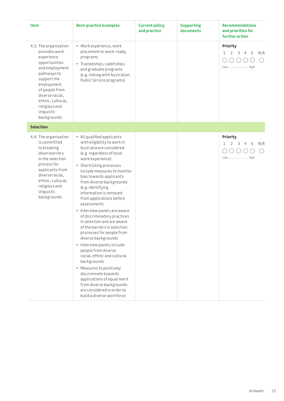| <b>Item</b>                                                                                                                                                                                                                                 | <b>Best-practice examples</b>                                                                                                                                                                                                                                                                                                                                                                                                                                                                                                                                                                                                                                                                                                                                                                                    | <b>Current policy</b><br>and practice | <b>Supporting</b><br>documents | <b>Recommendations</b><br>and priorities for<br>further action  |
|---------------------------------------------------------------------------------------------------------------------------------------------------------------------------------------------------------------------------------------------|------------------------------------------------------------------------------------------------------------------------------------------------------------------------------------------------------------------------------------------------------------------------------------------------------------------------------------------------------------------------------------------------------------------------------------------------------------------------------------------------------------------------------------------------------------------------------------------------------------------------------------------------------------------------------------------------------------------------------------------------------------------------------------------------------------------|---------------------------------------|--------------------------------|-----------------------------------------------------------------|
| 4.3. The organisation<br>provides work<br>experience<br>opportunities<br>and employment<br>pathways to<br>support the<br>employment<br>of people from<br>diverse racial,<br>ethnic, cultural,<br>religious and<br>linguistic<br>backgrounds | • Work experience, work<br>placement or work-ready<br>programs<br>• Traineeships, cadetships<br>and graduate programs<br>(e.g. linking with Australian<br>Public Service programs)                                                                                                                                                                                                                                                                                                                                                                                                                                                                                                                                                                                                                               |                                       |                                | Priority<br>$\mathbf{1}$<br>2<br>3<br>5<br>N/A<br>4<br>LowHigh  |
| <b>Selection</b>                                                                                                                                                                                                                            |                                                                                                                                                                                                                                                                                                                                                                                                                                                                                                                                                                                                                                                                                                                                                                                                                  |                                       |                                |                                                                 |
| 4.4. The organisation<br>is committed<br>to breaking<br>down barriers<br>in the selection<br>process for<br>applicants from<br>diverse racial,<br>ethnic, cultural,<br>religious and<br>linguistic<br>backgrounds                           | • All qualified applicants<br>with eligibility to work in<br>Australia are considered<br>(e.g. regardless of local<br>work experience)<br>• Shortlisting processes<br>include measures to monitor<br>bias towards applicants<br>from diverse backgrounds<br>(e.g. identifying<br>information is removed<br>from applications before<br>assessment)<br>• Interview panels are aware<br>of discriminatory practices<br>in selection and are aware<br>of the barriers in selection<br>processes for people from<br>diverse backgrounds<br>• Interview panels include<br>people from diverse<br>racial, ethnic and cultural<br>backgrounds<br>• Measures to positively<br>discriminate towards<br>applications of equal merit<br>from diverse backgrounds<br>are considered in order to<br>build a diverse workforce |                                       |                                | Priority<br>1<br>$\mathcal{L}$<br>3<br>5<br>4<br>N/A<br>LowHigh |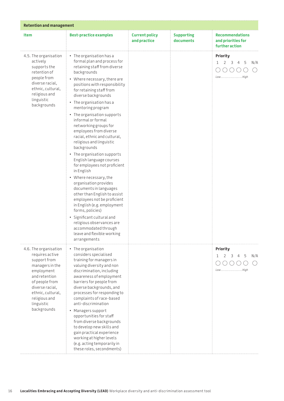| <b>Retention and management</b>                                                                                                                                                                                    |                                                                                                                                                                                                                                                                                                                                                                                                                                                                                                                                                                                                                                                                                                                                                                                                                                                                                                               |                                       |                                |                                                                                      |  |  |
|--------------------------------------------------------------------------------------------------------------------------------------------------------------------------------------------------------------------|---------------------------------------------------------------------------------------------------------------------------------------------------------------------------------------------------------------------------------------------------------------------------------------------------------------------------------------------------------------------------------------------------------------------------------------------------------------------------------------------------------------------------------------------------------------------------------------------------------------------------------------------------------------------------------------------------------------------------------------------------------------------------------------------------------------------------------------------------------------------------------------------------------------|---------------------------------------|--------------------------------|--------------------------------------------------------------------------------------|--|--|
| Item                                                                                                                                                                                                               | <b>Best-practice examples</b>                                                                                                                                                                                                                                                                                                                                                                                                                                                                                                                                                                                                                                                                                                                                                                                                                                                                                 | <b>Current policy</b><br>and practice | <b>Supporting</b><br>documents | <b>Recommendations</b><br>and priorities for<br>further action                       |  |  |
| 4.5. The organisation<br>actively<br>supports the<br>retention of<br>people from<br>diverse racial,<br>ethnic, cultural,<br>religious and<br>linguistic<br>backgrounds                                             | $\cdot$ The organisation has a<br>formal plan and process for<br>retaining staff from diverse<br>backgrounds<br>• Where necessary, there are<br>positions with responsibility<br>for retaining staff from<br>diverse backgrounds<br>• The organisation has a<br>mentoring program<br>• The organisation supports<br>informal or formal<br>networking groups for<br>employees from diverse<br>racial, ethnic and cultural,<br>religious and linguistic<br>backgrounds<br>• The organisation supports<br>English language courses<br>for employees not proficient<br>in English<br>• Where necessary, the<br>organisation provides<br>documents in languages<br>other than English to assist<br>employees not be proficient<br>in English (e.g. employment<br>forms, policies)<br>· Significant cultural and<br>religious observances are<br>accommodated through<br>leave and flexible working<br>arrangements |                                       |                                | <b>Priority</b><br>3<br>- 5<br>$\mathbf{1}$<br>2<br>$\overline{4}$<br>N/A<br>LowHigh |  |  |
| 4.6. The organisation<br>requires active<br>support from<br>managers in the<br>employment<br>and retention<br>of people from<br>diverse racial,<br>ethnic, cultural,<br>religious and<br>linguistic<br>backgrounds | • The organisation<br>considers specialised<br>training for managers in<br>valuing diversity and non<br>discrimination, including<br>awareness of employment<br>barriers for people from<br>diverse backgrounds, and<br>processes for responding to<br>complaints of race-based<br>anti-discrimination<br>• Managers support<br>opportunities for staff<br>from diverse backgrounds<br>to develop new skills and<br>gain practical experience<br>working at higher levels<br>(e.g. acting temporarily in<br>these roles, secondments)                                                                                                                                                                                                                                                                                                                                                                         |                                       |                                | Priority<br>5<br>N/A<br>4<br>LowHigh                                                 |  |  |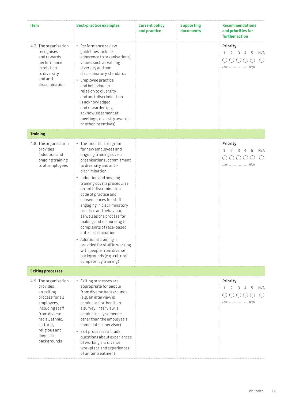| Item                                                                                                                                                                                              | <b>Best-practice examples</b>                                                                                                                                                                                                                                                                                                                                                                                                                                                                                                                                                                                  | <b>Current policy</b><br>and practice | <b>Supporting</b><br>documents | <b>Recommendations</b><br>and priorities for<br>further action                                           |
|---------------------------------------------------------------------------------------------------------------------------------------------------------------------------------------------------|----------------------------------------------------------------------------------------------------------------------------------------------------------------------------------------------------------------------------------------------------------------------------------------------------------------------------------------------------------------------------------------------------------------------------------------------------------------------------------------------------------------------------------------------------------------------------------------------------------------|---------------------------------------|--------------------------------|----------------------------------------------------------------------------------------------------------|
| 4.7. The organisation<br>recognises<br>and rewards<br>performance<br>in relation<br>to diversity<br>and anti-<br>discrimination                                                                   | • Performance review<br>guidelines include<br>adherence to organisational<br>values such as valuing<br>diversity and non<br>discriminatory standards<br>• Employee practice<br>and behaviour in<br>relation to diversity<br>and anti-discrimination<br>is acknowledged<br>and rewarded (e.g.<br>acknowledgement at<br>meetings, diversity awards<br>or other incentives)                                                                                                                                                                                                                                       |                                       |                                | <b>Priority</b><br>2<br>$\overline{\mathbf{3}}$<br>5<br>$\mathbf{1}$<br>$\overline{4}$<br>N/A<br>LowHigh |
| <b>Training</b>                                                                                                                                                                                   |                                                                                                                                                                                                                                                                                                                                                                                                                                                                                                                                                                                                                |                                       |                                |                                                                                                          |
| 4.8. The organisation<br>provides<br>induction and<br>ongoing training<br>to all employees                                                                                                        | • The induction program<br>for new employees and<br>ongoing training covers<br>organisational commitment<br>to diversity and anti-<br>discrimination<br>• Induction and ongoing<br>training covers procedures<br>on anti-discrimination<br>code of practice and<br>consequences for staff<br>engaging in discriminatory<br>practice and behaviour,<br>as well as the process for<br>making and responding to<br>complaints of race-based<br>anti-discrimination<br>• Additional training is<br>provided for staff in working<br>with people from diverse<br>backgrounds (e.g. cultural<br>competency training) |                                       |                                | <b>Priority</b><br>3<br>5<br>N/A<br>4<br>LowHigh                                                         |
| <b>Exiting processes</b>                                                                                                                                                                          |                                                                                                                                                                                                                                                                                                                                                                                                                                                                                                                                                                                                                |                                       |                                |                                                                                                          |
| 4.9. The organisation<br>provides<br>an exiting<br>process for all<br>employees,<br>including staff<br>from diverse<br>racial, ethnic,<br>cultural,<br>religious and<br>linguistic<br>backgrounds | • Exiting processes are<br>appropriate for people<br>from diverse backgrounds<br>(e.g. an interview is<br>conducted rather than<br>a survey; interview is<br>conducted by someone<br>other than the employee's<br>immediate supervisor)<br>Exit processes include<br>questions about experiences<br>of working in a diverse<br>workplace and experiences<br>of unfair treatment                                                                                                                                                                                                                                |                                       |                                | Priority<br>1<br>2<br>3<br>5<br>N/A<br>LowHigh                                                           |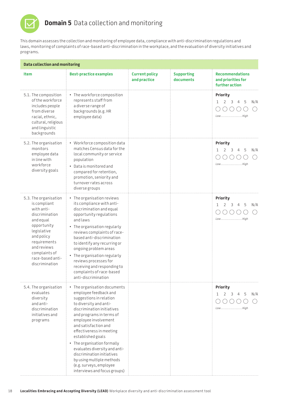

سيب

## **Domain 5** Data collection and monitoring

This domain assesses the collection and monitoring of employee data, compliance with anti-discrimination regulations and laws, monitoring of complaints of race-based anti-discrimination in the workplace, and the evaluation of diversity initiatives and programs.

|                                                                                                                                                                                                                      |                                                                                                                                                                                                                                                                                                                                                                                                                                                             | <b>Data collection and monitoring</b> |                                |                                                                                                 |  |  |  |  |
|----------------------------------------------------------------------------------------------------------------------------------------------------------------------------------------------------------------------|-------------------------------------------------------------------------------------------------------------------------------------------------------------------------------------------------------------------------------------------------------------------------------------------------------------------------------------------------------------------------------------------------------------------------------------------------------------|---------------------------------------|--------------------------------|-------------------------------------------------------------------------------------------------|--|--|--|--|
| <b>Item</b>                                                                                                                                                                                                          | <b>Best-practice examples</b>                                                                                                                                                                                                                                                                                                                                                                                                                               | <b>Current policy</b><br>and practice | <b>Supporting</b><br>documents | <b>Recommendations</b><br>and priorities for<br>further action                                  |  |  |  |  |
| 5.1. The composition<br>of the workforce<br>includes people<br>from diverse<br>racial, ethnic,<br>cultural, religious<br>and linguistic<br>backgrounds                                                               | • The workforce composition<br>represents staff from<br>a diverse range of<br>backgrounds (e.g. HR<br>employee data)                                                                                                                                                                                                                                                                                                                                        |                                       |                                | <b>Priority</b><br>2<br>$\overline{3}$<br>5<br>$\mathbf{1}$<br>$\overline{4}$<br>N/A<br>LowHigh |  |  |  |  |
| 5.2. The organisation<br>monitors<br>employee data<br>in line with<br>workforce<br>diversity goals                                                                                                                   | • Workforce composition data<br>matches Census data for the<br>local community or service<br>population<br>Data is monitored and<br>compared for retention,<br>promotion, seniority and<br>turnover rates across<br>diverse groups                                                                                                                                                                                                                          |                                       |                                | Priority<br>5<br>N/A<br>3<br>4<br>LowHigh                                                       |  |  |  |  |
| 5.3. The organisation<br>is compliant<br>with anti-<br>discrimination<br>and equal<br>opportunity<br>legislative<br>and policy<br>requirements<br>and reviews<br>complaints of<br>race-based anti-<br>discrimination | • The organisation reviews<br>its compliance with anti-<br>discrimination and equal<br>opportunity regulations<br>and laws<br>• The organisation regularly<br>reviews complaints of race-<br>based anti-discrimination<br>to identify any recurring or<br>ongoing problem areas<br>• The organisation regularly<br>reviews processes for<br>receiving and responding to<br>complaints of race-based<br>anti-discrimination                                  |                                       |                                | <b>Priority</b><br>5<br>2<br>3<br>N/A<br>4<br>LowHigh                                           |  |  |  |  |
| 5.4. The organisation<br>evaluates<br>diversity<br>and anti-<br>discrimination<br>initiatives and<br>programs                                                                                                        | • The organisation documents<br>employee feedback and<br>suggestions in relation<br>to diversity and anti-<br>discrimination initiatives<br>and programs in terms of<br>employee involvement<br>and satisfaction and<br>effectiveness in meeting<br>established goals<br>• The organisation formally<br>evaluates diversity and anti-<br>discrimination initiatives<br>by using multiple methods<br>(e.g. surveys, employee<br>interviews and focus groups) |                                       |                                | Priority<br>2<br>3<br>5<br>N/A<br>1<br>4<br>LowHigh                                             |  |  |  |  |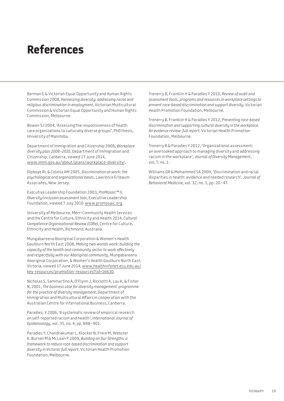# **References**

Berman G & Victorian Equal Opportunity and Human Rights Commission 2008, *Harnessing diversity: addressing racial and religious discrimination in employment*, Victorian Multicultural Commission & Victorian Equal Opportunity and Human Rights Commission, Melbourne.

Bowen SJ 2004, 'Assessing the responsiveness of health care organizations to culturally diverse groups', PhD thesis, University of Manitoba.

Department of Immigration and Citizenship 2008, *Workplace diversity plan 2008–2010*, Department of Immigration and Citizenship, Canberra, viewed 17 June 2014, [www.immi.gov.au/about/plans/workplace-diversity/.](http://www.immi.gov.au/about/plans/workplace-diversity/)

Dipboye RL & Colella AM 2005, *Discrimination at work: the psychological and organizational bases*, Lawrence Erlbaum Associates, New Jersey.

Executive Leadership Foundation 2003, *ProMosaic™ II, Diversity/inclusion assessment tool*, Executive Leadership Foundation, viewed 7 July 2010 [www.promosaic.org](http://www.promosaic.org).

University of Melbourne, Merri Community Health Services and the Centre for Culture, Ethnicity and Health 2014, *Cultural Competence Organisational Review (CORe)*, Centre for Culture, Ethnicity and Health, Richmond, Australia.

Mungabareena Aboriginal Corporation & Women's Health Goulburn North East 2008, *Making two worlds work: building the capacity of the health and community sector to work effectively and respectfully with our Aboriginal community*, Mungabareena Aboriginal Corporation, & Women's Health Goulburn North East, Victoria, viewed 17 June 2014, [www.healthinfonet.ecu.edu.au/](http://www.healthinfonet.ecu.edu.au/key-resources/promotion-resources?lid=16630) [key-resources/promotion-resources?lid=16630.](http://www.healthinfonet.ecu.edu.au/key-resources/promotion-resources?lid=16630)

Nicholas S, Sammartino A, O'Flynn J, Ricciotti A, Lau K, & Fisher N, 2001, *The business case for diversity management: programme for the practice of diversity management*, Department of Immigration and Multicultural Affairs in cooperation with the Australian Centre for International Business, Canberra.

Paradies, Y 2006, 'A systematic review of empirical research on self-reported racism and health', *International Journal of Epidemiology*, vol. 35, no. 4, pp. 888–901.

Paradies Y, Chandrakumar L, Klocker N, Frere M, Webster K, Burrell M & McLean P 2009, *Building on Our Strengths: a framework to reduce race-based discrimination and support diversity in Victoria: full report*, Victorian Health Promotion Foundation, Melbourne.

Trenerry B, Franklin H & Paradies Y 2010, *Review of audit and assessment tools, programs and resources in workplace settings to prevent race-based discrimination and support diversity*, Victorian Health Promotion Foundation, Melbourne.

Trenerry B, Franklin H & Paradies Y 2012, *Preventing race-based discrimination and supporting cultural diversity in the workplace. An evidence review: full report*, Victorian Health Promotion Foundation, Melbourne.

Trenerry B & Paradies Y 2012, 'Organizational assessment: an overlooked approach to managing diversity and addressing racism in the workplace', *Journal of Diversity Management*, vol. 7, no. 1.

Williams DR & Mohammed SA 2009, 'Discrimination and racial disparities in health: evidence and needed research', *Journal of Behavioral Medicine*, vol. 32, no. 1, pp. 20–47.